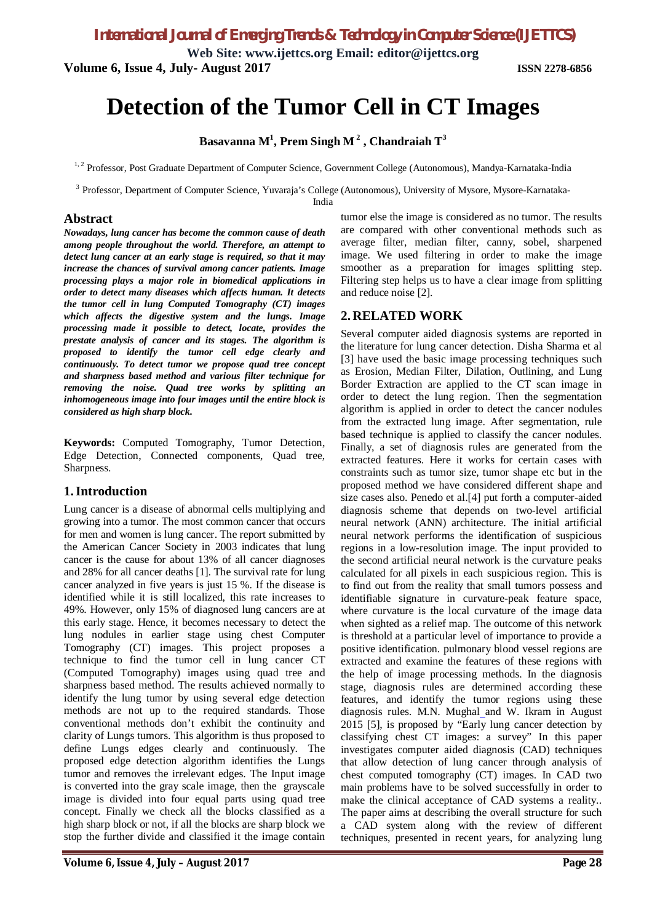**Web Site: www.ijettcs.org Email: editor@ijettcs.org Volume 6, Issue 4, July- August 2017 ISSN 2278-6856**

# **Detection of the Tumor Cell in CT Images**

**Basavanna M<sup>1</sup> , Prem Singh M <sup>2</sup> , Chandraiah T<sup>3</sup>**

<sup>1, 2</sup> Professor, Post Graduate Department of Computer Science, Government College (Autonomous), Mandya-Karnataka-India

<sup>3</sup> Professor, Department of Computer Science, Yuvaraja's College (Autonomous), University of Mysore, Mysore-Karnataka-

India

# **Abstract**

*Nowadays, lung cancer has become the common cause of death among people throughout the world. Therefore, an attempt to detect lung cancer at an early stage is required, so that it may increase the chances of survival among cancer patients. Image processing plays a major role in biomedical applications in order to detect many diseases which affects human. It detects the tumor cell in lung Computed Tomography (CT) images which affects the digestive system and the lungs. Image processing made it possible to detect, locate, provides the prestate analysis of cancer and its stages. The algorithm is proposed to identify the tumor cell edge clearly and continuously. To detect tumor we propose quad tree concept and sharpness based method and various filter technique for removing the noise. Quad tree works by splitting an inhomogeneous image into four images until the entire block is considered as high sharp block.* 

**Keywords:** Computed Tomography, Tumor Detection, Edge Detection, Connected components, Quad tree, Sharpness.

# **1.Introduction**

Lung cancer is a disease of abnormal cells multiplying and growing into a tumor. The most common cancer that occurs for men and women is lung cancer. The report submitted by the American Cancer Society in 2003 indicates that lung cancer is the cause for about 13% of all cancer diagnoses and 28% for all cancer deaths [1]. The survival rate for lung cancer analyzed in five years is just 15 %. If the disease is identified while it is still localized, this rate increases to 49%. However, only 15% of diagnosed lung cancers are at this early stage. Hence, it becomes necessary to detect the lung nodules in earlier stage using chest Computer Tomography (CT) images. This project proposes a technique to find the tumor cell in lung cancer CT (Computed Tomography) images using quad tree and sharpness based method. The results achieved normally to identify the lung tumor by using several edge detection methods are not up to the required standards. Those conventional methods don't exhibit the continuity and clarity of Lungs tumors. This algorithm is thus proposed to define Lungs edges clearly and continuously. The proposed edge detection algorithm identifies the Lungs tumor and removes the irrelevant edges. The Input image is converted into the gray scale image, then the grayscale image is divided into four equal parts using quad tree concept. Finally we check all the blocks classified as a high sharp block or not, if all the blocks are sharp block we stop the further divide and classified it the image contain tumor else the image is considered as no tumor. The results are compared with other conventional methods such as average filter, median filter, canny, sobel, sharpened image. We used filtering in order to make the image smoother as a preparation for images splitting step. Filtering step helps us to have a clear image from splitting and reduce noise [2].

# **2. RELATED WORK**

Several computer aided diagnosis systems are reported in the literature for lung cancer detection. Disha Sharma et al [3] have used the basic image processing techniques such as Erosion, Median Filter, Dilation, Outlining, and Lung Border Extraction are applied to the CT scan image in order to detect the lung region. Then the segmentation algorithm is applied in order to detect the cancer nodules from the extracted lung image. After segmentation, rule based technique is applied to classify the cancer nodules. Finally, a set of diagnosis rules are generated from the extracted features. Here it works for certain cases with constraints such as tumor size, tumor shape etc but in the proposed method we have considered different shape and size cases also. Penedo et al.[4] put forth a computer-aided diagnosis scheme that depends on two-level artificial neural network (ANN) architecture. The initial artificial neural network performs the identification of suspicious regions in a low-resolution image. The input provided to the second artificial neural network is the curvature peaks calculated for all pixels in each suspicious region. This is to find out from the reality that small tumors possess and identifiable signature in curvature-peak feature space, where curvature is the local curvature of the image data when sighted as a relief map. The outcome of this network is threshold at a particular level of importance to provide a positive identification. pulmonary blood vessel regions are extracted and examine the features of these regions with the help of image processing methods. In the diagnosis stage, diagnosis rules are determined according these features, and identify the tumor regions using these diagnosis rules. M.N. Mughal and W. Ikram in August 2015 [5], is proposed by "Early lung cancer detection by classifying chest CT images: a survey" In this paper investigates computer aided diagnosis (CAD) techniques that allow detection of lung cancer through analysis of chest computed tomography (CT) images. In CAD two main problems have to be solved successfully in order to make the clinical acceptance of CAD systems a reality.. The paper aims at describing the overall structure for such a CAD system along with the review of different techniques, presented in recent years, for analyzing lung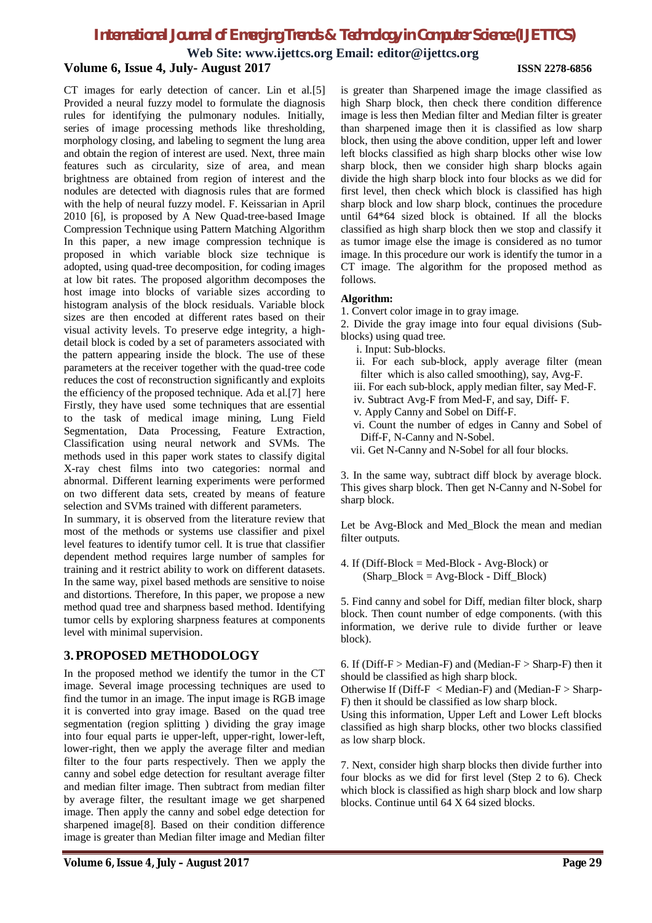**Web Site: www.ijettcs.org Email: editor@ijettcs.org**

# **Volume 6, Issue 4, July- August 2017 ISSN 2278-6856**

CT images for early detection of cancer. Lin et al.[5] Provided a neural fuzzy model to formulate the diagnosis rules for identifying the pulmonary nodules. Initially, series of image processing methods like thresholding, morphology closing, and labeling to segment the lung area and obtain the region of interest are used. Next, three main features such as circularity, size of area, and mean brightness are obtained from region of interest and the nodules are detected with diagnosis rules that are formed with the help of neural fuzzy model. F. Keissarian in April 2010 [6], is proposed by A New Quad-tree-based Image Compression Technique using Pattern Matching Algorithm In this paper, a new image compression technique is proposed in which variable block size technique is adopted, using quad-tree decomposition, for coding images at low bit rates. The proposed algorithm decomposes the host image into blocks of variable sizes according to histogram analysis of the block residuals. Variable block sizes are then encoded at different rates based on their visual activity levels. To preserve edge integrity, a highdetail block is coded by a set of parameters associated with the pattern appearing inside the block. The use of these parameters at the receiver together with the quad-tree code reduces the cost of reconstruction significantly and exploits the efficiency of the proposed technique. Ada et al.[7] here Firstly, they have used some techniques that are essential to the task of medical image mining, Lung Field Segmentation, Data Processing, Feature Extraction, Classification using neural network and SVMs. The methods used in this paper work states to classify digital X-ray chest films into two categories: normal and abnormal. Different learning experiments were performed on two different data sets, created by means of feature selection and SVMs trained with different parameters.

In summary, it is observed from the literature review that most of the methods or systems use classifier and pixel level features to identify tumor cell. It is true that classifier dependent method requires large number of samples for training and it restrict ability to work on different datasets. In the same way, pixel based methods are sensitive to noise and distortions. Therefore, In this paper, we propose a new method quad tree and sharpness based method. Identifying tumor cells by exploring sharpness features at components level with minimal supervision.

# **3.PROPOSED METHODOLOGY**

In the proposed method we identify the tumor in the CT image. Several image processing techniques are used to find the tumor in an image. The input image is RGB image it is converted into gray image. Based on the quad tree segmentation (region splitting ) dividing the gray image into four equal parts ie upper-left, upper-right, lower-left, lower-right, then we apply the average filter and median filter to the four parts respectively. Then we apply the canny and sobel edge detection for resultant average filter and median filter image. Then subtract from median filter by average filter, the resultant image we get sharpened image. Then apply the canny and sobel edge detection for sharpened image[8]. Based on their condition difference image is greater than Median filter image and Median filter

is greater than Sharpened image the image classified as high Sharp block, then check there condition difference image is less then Median filter and Median filter is greater than sharpened image then it is classified as low sharp block, then using the above condition, upper left and lower left blocks classified as high sharp blocks other wise low sharp block, then we consider high sharp blocks again divide the high sharp block into four blocks as we did for first level, then check which block is classified has high sharp block and low sharp block, continues the procedure until 64\*64 sized block is obtained. If all the blocks classified as high sharp block then we stop and classify it as tumor image else the image is considered as no tumor image. In this procedure our work is identify the tumor in a CT image. The algorithm for the proposed method as follows.

### **Algorithm:**

1. Convert color image in to gray image.

2. Divide the gray image into four equal divisions (Subblocks) using quad tree.

- i. Input: Sub-blocks.
- ii. For each sub-block, apply average filter (mean filter which is also called smoothing), say, Avg-F.
- iii. For each sub-block, apply median filter, say Med-F.
- iv. Subtract Avg-F from Med-F, and say, Diff- F.
- v. Apply Canny and Sobel on Diff-F.
- vi. Count the number of edges in Canny and Sobel of Diff-F, N-Canny and N-Sobel.
- vii. Get N-Canny and N-Sobel for all four blocks.

3. In the same way, subtract diff block by average block. This gives sharp block. Then get N-Canny and N-Sobel for sharp block.

Let be Avg-Block and Med\_Block the mean and median filter outputs.

4. If ( $Diff-Block = Med-Block - Avg-Block$ ) or (Sharp\_Block = Avg-Block - Diff\_Block)

5. Find canny and sobel for Diff, median filter block, sharp block. Then count number of edge components. (with this information, we derive rule to divide further or leave block).

6. If ( $Diff-F > Median-F$ ) and (Median- $F > Sharp-F$ ) then it should be classified as high sharp block.

Otherwise If ( $Diff-F < Median-F$ ) and (Median- $F > Sharp$ -F) then it should be classified as low sharp block.

Using this information, Upper Left and Lower Left blocks classified as high sharp blocks, other two blocks classified as low sharp block.

7. Next, consider high sharp blocks then divide further into four blocks as we did for first level (Step 2 to 6). Check which block is classified as high sharp block and low sharp blocks. Continue until 64 X 64 sized blocks.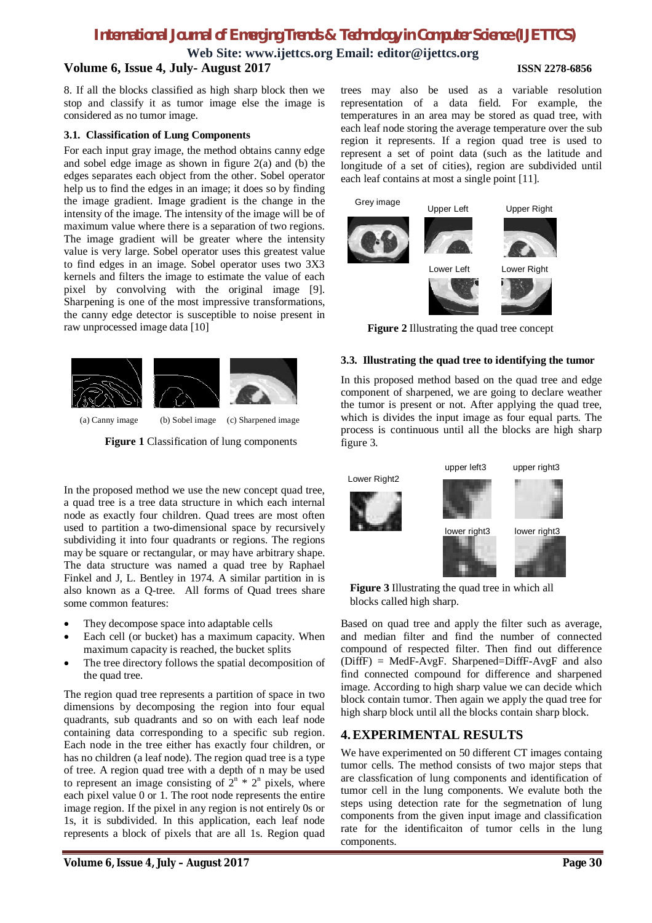**Web Site: www.ijettcs.org Email: editor@ijettcs.org**

# **Volume 6, Issue 4, July- August 2017 ISSN 2278-6856**

8. If all the blocks classified as high sharp block then we stop and classify it as tumor image else the image is considered as no tumor image.

### **3.1. Classification of Lung Components**

For each input gray image, the method obtains canny edge and sobel edge image as shown in figure 2(a) and (b) the edges separates each object from the other. Sobel operator help us to find the edges in an image; it does so by finding the image gradient. Image gradient is the change in the intensity of the image. The intensity of the image will be of maximum value where there is a separation of two regions. The image gradient will be greater where the intensity value is very large. Sobel operator uses this greatest value to find edges in an image. Sobel operator uses two 3X3 kernels and filters the image to estimate the value of each pixel by convolving with the original image [9]. Sharpening is one of the most impressive transformations, the canny edge detector is susceptible to noise present in raw unprocessed image data [10]



(a) Canny image (b) Sobel image (c) Sharpened image

Figure 1 Classification of lung components

In the proposed method we use the new concept quad tree, a quad tree is a tree data structure in which each internal node as exactly four children. Quad trees are most often used to partition a two-dimensional space by recursively subdividing it into four quadrants or regions. The regions may be square or rectangular, or may have arbitrary shape. The data structure was named a quad tree by Raphael Finkel and J, L. Bentley in 1974. A similar partition in is also known as a Q-tree. All forms of Quad trees share some common features:

- They decompose space into adaptable cells
- Each cell (or bucket) has a maximum capacity. When maximum capacity is reached, the bucket splits
- The tree directory follows the spatial decomposition of the quad tree.

The region quad tree represents a partition of space in two dimensions by decomposing the region into four equal quadrants, sub quadrants and so on with each leaf node containing data corresponding to a specific sub region. Each node in the tree either has exactly four children, or has no children (a leaf node). The region quad tree is a type of tree. A region quad tree with a depth of n may be used to represent an image consisting of  $2^{n} \times 2^{n}$  pixels, where each pixel value 0 or 1. The root node represents the entire image region. If the pixel in any region is not entirely 0s or 1s, it is subdivided. In this application, each leaf node represents a block of pixels that are all 1s. Region quad

trees may also be used as a variable resolution representation of a data field. For example, the temperatures in an area may be stored as quad tree, with each leaf node storing the average temperature over the sub region it represents. If a region quad tree is used to represent a set of point data (such as the latitude and longitude of a set of cities), region are subdivided until each leaf contains at most a single point [11].



**Figure 2** Illustrating the quad tree concept

# **3.3. Illustrating the quad tree to identifying the tumor**

In this proposed method based on the quad tree and edge component of sharpened, we are going to declare weather the tumor is present or not. After applying the quad tree, which is divides the input image as four equal parts. The process is continuous until all the blocks are high sharp figure 3.



**Figure 3** Illustrating the quad tree in which all blocks called high sharp.

Based on quad tree and apply the filter such as average, and median filter and find the number of connected compound of respected filter. Then find out difference  $(DiffF) = MedF-AvgF$ . Sharpened=DiffF-AvgF and also find connected compound for difference and sharpened image. According to high sharp value we can decide which block contain tumor. Then again we apply the quad tree for high sharp block until all the blocks contain sharp block.

# **4.EXPERIMENTAL RESULTS**

We have experimented on 50 different CT images containg tumor cells. The method consists of two major steps that are classfication of lung components and identification of tumor cell in the lung components. We evalute both the steps using detection rate for the segmetnation of lung components from the given input image and classification rate for the identificaiton of tumor cells in the lung components.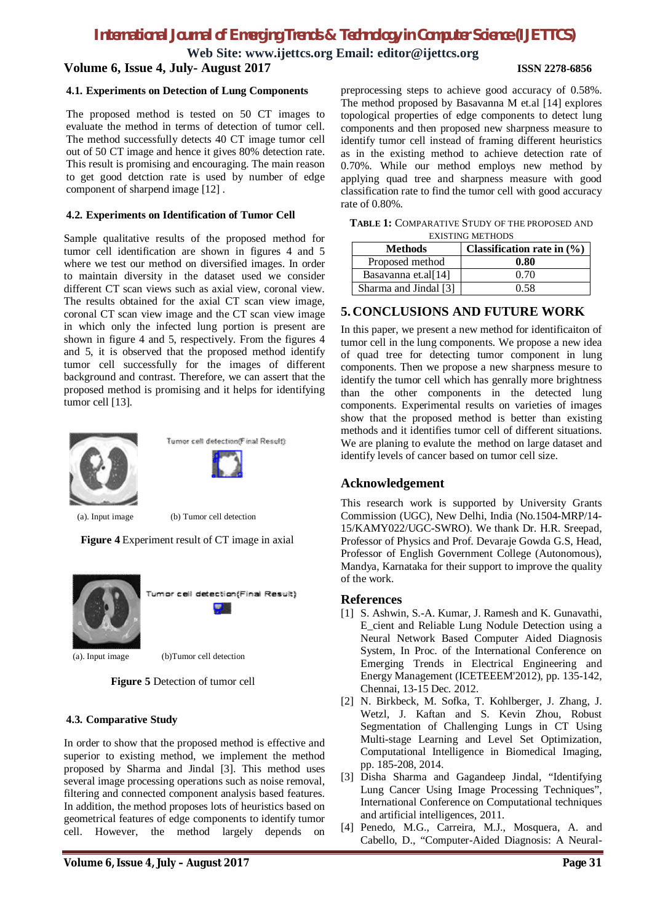**Web Site: www.ijettcs.org Email: editor@ijettcs.org Volume 6, Issue 4, July- August 2017 ISSN 2278-6856**

### **4.1. Experiments on Detection of Lung Components**

The proposed method is tested on 50 CT images to evaluate the method in terms of detection of tumor cell. The method successfully detects 40 CT image tumor cell out of 50 CT image and hence it gives 80% detection rate. This result is promising and encouraging. The main reason to get good detction rate is used by number of edge component of sharpend image [12] .

### **4.2. Experiments on Identification of Tumor Cell**

Sample qualitative results of the proposed method for tumor cell identification are shown in figures 4 and 5 where we test our method on diversified images. In order to maintain diversity in the dataset used we consider different CT scan views such as axial view, coronal view. The results obtained for the axial CT scan view image, coronal CT scan view image and the CT scan view image in which only the infected lung portion is present are shown in figure 4 and 5, respectively. From the figures 4 and 5, it is observed that the proposed method identify tumor cell successfully for the images of different background and contrast. Therefore, we can assert that the proposed method is promising and it helps for identifying tumor cell [13].





(a). Input image (b) Tumor cell detection

**Figure 4** Experiment result of CT image in axial



imor cell detection(Final Result)

(a). Input image (b)Tumor cell detection



### **4.3. Comparative Study**

In order to show that the proposed method is effective and superior to existing method, we implement the method proposed by Sharma and Jindal [3]. This method uses several image processing operations such as noise removal, filtering and connected component analysis based features. In addition, the method proposes lots of heuristics based on geometrical features of edge components to identify tumor cell. However, the method largely depends on

preprocessing steps to achieve good accuracy of 0.58%. The method proposed by Basavanna M et.al [14] explores topological properties of edge components to detect lung components and then proposed new sharpness measure to identify tumor cell instead of framing different heuristics as in the existing method to achieve detection rate of 0.70%. While our method employs new method by applying quad tree and sharpness measure with good classification rate to find the tumor cell with good accuracy rate of 0.80%.

**TABLE 1:** COMPARATIVE STUDY OF THE PROPOSED AND EXISTING METHODS

| <b>EARLOTHYO METHODS</b> |                                |
|--------------------------|--------------------------------|
| Methods                  | Classification rate in $(\% )$ |
| Proposed method          | 0.80                           |
| Basayanna et.al[14]      | 0.70                           |
| Sharma and Jindal [3]    | 0.58                           |

# **5. CONCLUSIONS AND FUTURE WORK**

In this paper, we present a new method for identificaiton of tumor cell in the lung components. We propose a new idea of quad tree for detecting tumor component in lung components. Then we propose a new sharpness mesure to identify the tumor cell which has genrally more brightness than the other components in the detected lung components. Experimental results on varieties of images show that the proposed method is better than existing methods and it identifies tumor cell of different situations. We are planing to evalute the method on large dataset and identify levels of cancer based on tumor cell size.

# **Acknowledgement**

This research work is supported by University Grants Commission (UGC), New Delhi, India (No.1504-MRP/14- 15/KAMY022/UGC-SWRO). We thank Dr. H.R. Sreepad, Professor of Physics and Prof. Devaraje Gowda G.S, Head, Professor of English Government College (Autonomous), Mandya, Karnataka for their support to improve the quality of the work.

### **References**

- [1] S. Ashwin, S.-A. Kumar, J. Ramesh and K. Gunavathi, E\_cient and Reliable Lung Nodule Detection using a Neural Network Based Computer Aided Diagnosis System, In Proc. of the International Conference on Emerging Trends in Electrical Engineering and Energy Management (ICETEEEM'2012), pp. 135-142, Chennai, 13-15 Dec. 2012.
- [2] N. Birkbeck, M. Sofka, T. Kohlberger, J. Zhang, J. Wetzl, J. Kaftan and S. Kevin Zhou, Robust Segmentation of Challenging Lungs in CT Using Multi-stage Learning and Level Set Optimization, Computational Intelligence in Biomedical Imaging, pp. 185-208, 2014.
- [3] Disha Sharma and Gagandeep Jindal, "Identifying Lung Cancer Using Image Processing Techniques", International Conference on Computational techniques and artificial intelligences, 2011.
- [4] Penedo, M.G., Carreira, M.J., Mosquera, A. and Cabello, D., "Computer-Aided Diagnosis: A Neural-